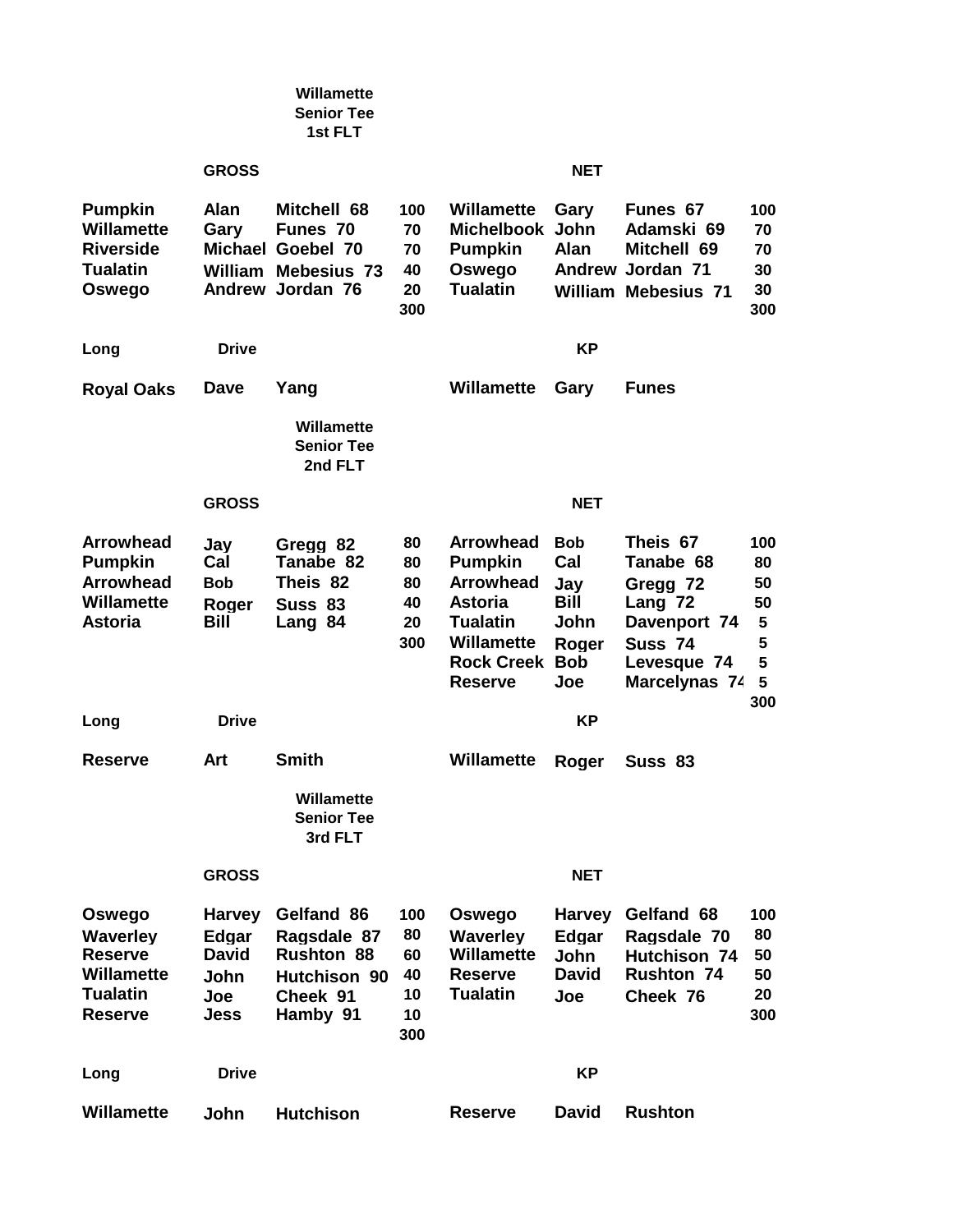|                                                                                               |                                                                      | Willamette<br><b>Senior Tee</b><br>1st FLT                                                            |                                          |                                                                                                                                                             |                                                          |                                                                                                                    |                                                  |
|-----------------------------------------------------------------------------------------------|----------------------------------------------------------------------|-------------------------------------------------------------------------------------------------------|------------------------------------------|-------------------------------------------------------------------------------------------------------------------------------------------------------------|----------------------------------------------------------|--------------------------------------------------------------------------------------------------------------------|--------------------------------------------------|
|                                                                                               | <b>GROSS</b>                                                         |                                                                                                       |                                          |                                                                                                                                                             | <b>NET</b>                                               |                                                                                                                    |                                                  |
| <b>Pumpkin</b><br><b>Willamette</b><br><b>Riverside</b><br><b>Tualatin</b><br>Oswego          | <b>Alan</b><br>Gary                                                  | Mitchell 68<br>Funes 70<br><b>Michael Goebel 70</b><br><b>William Mebesius 73</b><br>Andrew Jordan 76 | 100<br>70<br>70<br>40<br>20<br>300       | Willamette<br>Michelbook John<br><b>Pumpkin</b><br>Oswego<br><b>Tualatin</b>                                                                                | Gary<br><b>Alan</b>                                      | Funes 67<br>Adamski 69<br>Mitchell 69<br><b>Andrew Jordan 71</b><br><b>William Mebesius 71</b>                     | 100<br>70<br>70<br>30<br>30<br>300               |
| Long                                                                                          | <b>Drive</b>                                                         |                                                                                                       |                                          |                                                                                                                                                             | <b>KP</b>                                                |                                                                                                                    |                                                  |
| <b>Roval Oaks</b>                                                                             | Dave                                                                 | Yang                                                                                                  |                                          | Willamette                                                                                                                                                  | Gary                                                     | <b>Funes</b>                                                                                                       |                                                  |
|                                                                                               |                                                                      | Willamette<br><b>Senior Tee</b><br>2nd FLT                                                            |                                          |                                                                                                                                                             |                                                          |                                                                                                                    |                                                  |
|                                                                                               | <b>GROSS</b>                                                         |                                                                                                       |                                          |                                                                                                                                                             | <b>NET</b>                                               |                                                                                                                    |                                                  |
| <b>Arrowhead</b><br><b>Pumpkin</b><br><b>Arrowhead</b><br><b>Willamette</b><br><b>Astoria</b> | Jay<br>Cal<br><b>Bob</b><br>Roger<br><b>Bill</b>                     | Gregg 82<br>Tanabe 82<br>Theis 82<br><b>Suss 83</b><br>Lang 84                                        | 80<br>80<br>80<br>40<br>20<br>300        | <b>Arrowhead</b><br><b>Pumpkin</b><br><b>Arrowhead</b><br><b>Astoria</b><br><b>Tualatin</b><br><b>Willamette</b><br><b>Rock Creek Bob</b><br><b>Reserve</b> | <b>Bob</b><br>Cal<br>Jay<br>Bill<br>John<br>Roger<br>Joe | Theis 67<br>Tanabe 68<br>Gregg 72<br>Lang 72<br>Davenport 74<br>Suss <sub>74</sub><br>Levesque 74<br>Marcelynas 74 | 100<br>80<br>50<br>50<br>5<br>5<br>5<br>5<br>300 |
| Long                                                                                          | <b>Drive</b>                                                         |                                                                                                       |                                          |                                                                                                                                                             | KP                                                       |                                                                                                                    |                                                  |
| <b>Reserve</b>                                                                                | Art                                                                  | <b>Smith</b>                                                                                          |                                          | Willamette                                                                                                                                                  | Roger                                                    | Suss 83                                                                                                            |                                                  |
|                                                                                               |                                                                      | Willamette<br><b>Senior Tee</b><br>3rd FLT                                                            |                                          |                                                                                                                                                             |                                                          |                                                                                                                    |                                                  |
|                                                                                               | <b>GROSS</b>                                                         |                                                                                                       |                                          |                                                                                                                                                             | <b>NET</b>                                               |                                                                                                                    |                                                  |
| Oswego<br><b>Waverley</b><br><b>Reserve</b><br>Willamette<br><b>Tualatin</b><br>Reserve       | <b>Harvey</b><br>Edgar<br><b>David</b><br><b>John</b><br>Joe<br>Jess | Gelfand 86<br>Ragsdale 87<br><b>Rushton 88</b><br><b>Hutchison 90</b><br>Cheek 91<br>Hamby 91         | 100<br>80<br>60<br>40<br>10<br>10<br>300 | Oswego<br><b>Waverley</b><br><b>Willamette</b><br><b>Reserve</b><br><b>Tualatin</b>                                                                         | Harvey<br>Edgar<br><b>John</b><br><b>David</b><br>Joe    | Gelfand 68<br>Ragsdale 70<br><b>Hutchison 74</b><br><b>Rushton 74</b><br>Cheek 76                                  | 100<br>80<br>50<br>50<br>20<br>300               |
| Long                                                                                          | Drive                                                                |                                                                                                       |                                          |                                                                                                                                                             | ΚP                                                       |                                                                                                                    |                                                  |
| Willamette                                                                                    | John                                                                 | <b>Hutchison</b>                                                                                      |                                          | <b>Reserve</b>                                                                                                                                              | <b>David</b>                                             | <b>Rushton</b>                                                                                                     |                                                  |